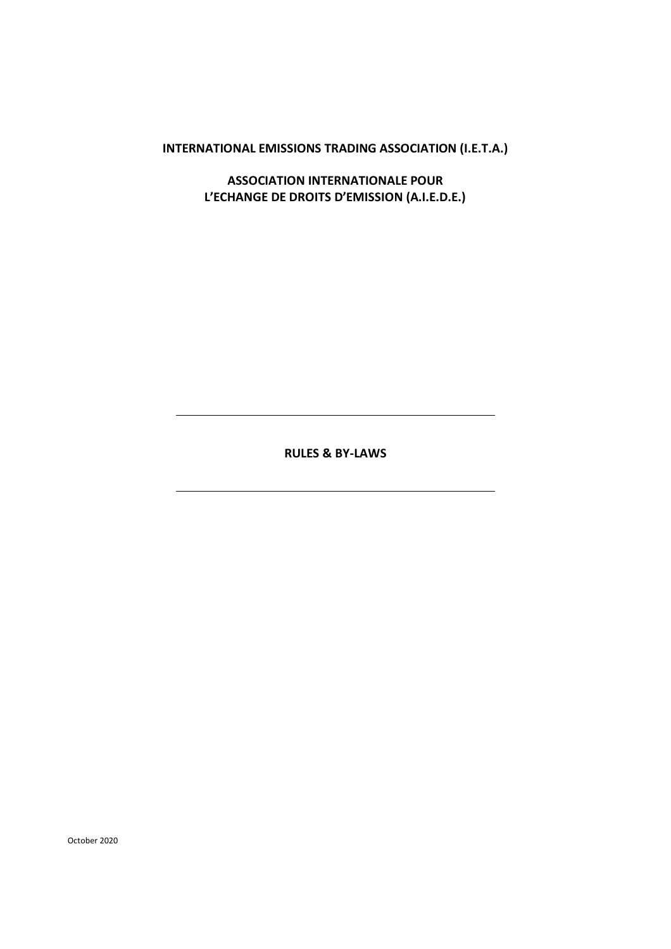**INTERNATIONAL EMISSIONS TRADING ASSOCIATION (I.E.T.A.)**

**ASSOCIATION INTERNATIONALE POUR L'ECHANGE DE DROITS D'EMISSION (A.I.E.D.E.)**

**RULES & BY-LAWS**

October 2020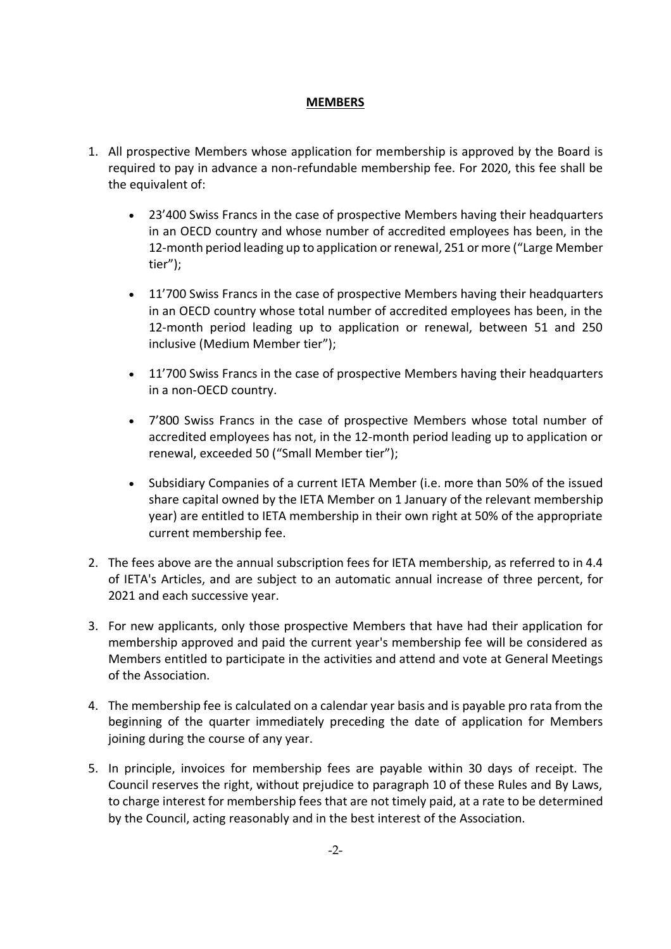# **MEMBERS**

- 1. All prospective Members whose application for membership is approved by the Board is required to pay in advance a non-refundable membership fee. For 2020, this fee shall be the equivalent of:
	- 23'400 Swiss Francs in the case of prospective Members having their headquarters in an OECD country and whose number of accredited employees has been, in the 12-month period leading up to application or renewal, 251 or more ("Large Member tier");
	- 11'700 Swiss Francs in the case of prospective Members having their headquarters in an OECD country whose total number of accredited employees has been, in the 12-month period leading up to application or renewal, between 51 and 250 inclusive (Medium Member tier");
	- 11'700 Swiss Francs in the case of prospective Members having their headquarters in a non-OECD country.
	- 7'800 Swiss Francs in the case of prospective Members whose total number of accredited employees has not, in the 12-month period leading up to application or renewal, exceeded 50 ("Small Member tier");
	- Subsidiary Companies of a current IETA Member (i.e. more than 50% of the issued share capital owned by the IETA Member on 1 January of the relevant membership year) are entitled to IETA membership in their own right at 50% of the appropriate current membership fee.
- 2. The fees above are the annual subscription fees for IETA membership, as referred to in 4.4 of IETA's Articles, and are subject to an automatic annual increase of three percent, for 2021 and each successive year.
- 3. For new applicants, only those prospective Members that have had their application for membership approved and paid the current year's membership fee will be considered as Members entitled to participate in the activities and attend and vote at General Meetings of the Association.
- 4. The membership fee is calculated on a calendar year basis and is payable pro rata from the beginning of the quarter immediately preceding the date of application for Members joining during the course of any year.
- 5. In principle, invoices for membership fees are payable within 30 days of receipt. The Council reserves the right, without prejudice to paragraph 10 of these Rules and By Laws, to charge interest for membership fees that are not timely paid, at a rate to be determined by the Council, acting reasonably and in the best interest of the Association.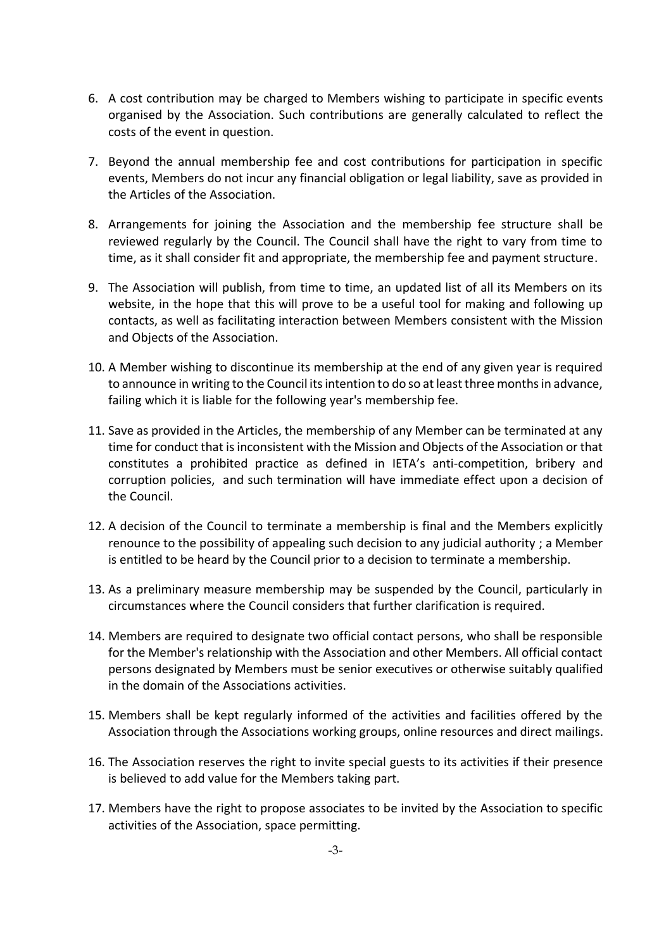- 6. A cost contribution may be charged to Members wishing to participate in specific events organised by the Association. Such contributions are generally calculated to reflect the costs of the event in question.
- 7. Beyond the annual membership fee and cost contributions for participation in specific events, Members do not incur any financial obligation or legal liability, save as provided in the Articles of the Association.
- 8. Arrangements for joining the Association and the membership fee structure shall be reviewed regularly by the Council. The Council shall have the right to vary from time to time, as it shall consider fit and appropriate, the membership fee and payment structure.
- 9. The Association will publish, from time to time, an updated list of all its Members on its website, in the hope that this will prove to be a useful tool for making and following up contacts, as well as facilitating interaction between Members consistent with the Mission and Objects of the Association.
- 10. A Member wishing to discontinue its membership at the end of any given year is required to announce in writing to the Council its intention to do so at least three months in advance, failing which it is liable for the following year's membership fee.
- 11. Save as provided in the Articles, the membership of any Member can be terminated at any time for conduct that is inconsistent with the Mission and Objects of the Association or that constitutes a prohibited practice as defined in IETA's anti-competition, bribery and corruption policies, and such termination will have immediate effect upon a decision of the Council.
- 12. A decision of the Council to terminate a membership is final and the Members explicitly renounce to the possibility of appealing such decision to any judicial authority ; a Member is entitled to be heard by the Council prior to a decision to terminate a membership.
- 13. As a preliminary measure membership may be suspended by the Council, particularly in circumstances where the Council considers that further clarification is required.
- 14. Members are required to designate two official contact persons, who shall be responsible for the Member's relationship with the Association and other Members. All official contact persons designated by Members must be senior executives or otherwise suitably qualified in the domain of the Associations activities.
- 15. Members shall be kept regularly informed of the activities and facilities offered by the Association through the Associations working groups, online resources and direct mailings.
- 16. The Association reserves the right to invite special guests to its activities if their presence is believed to add value for the Members taking part.
- 17. Members have the right to propose associates to be invited by the Association to specific activities of the Association, space permitting.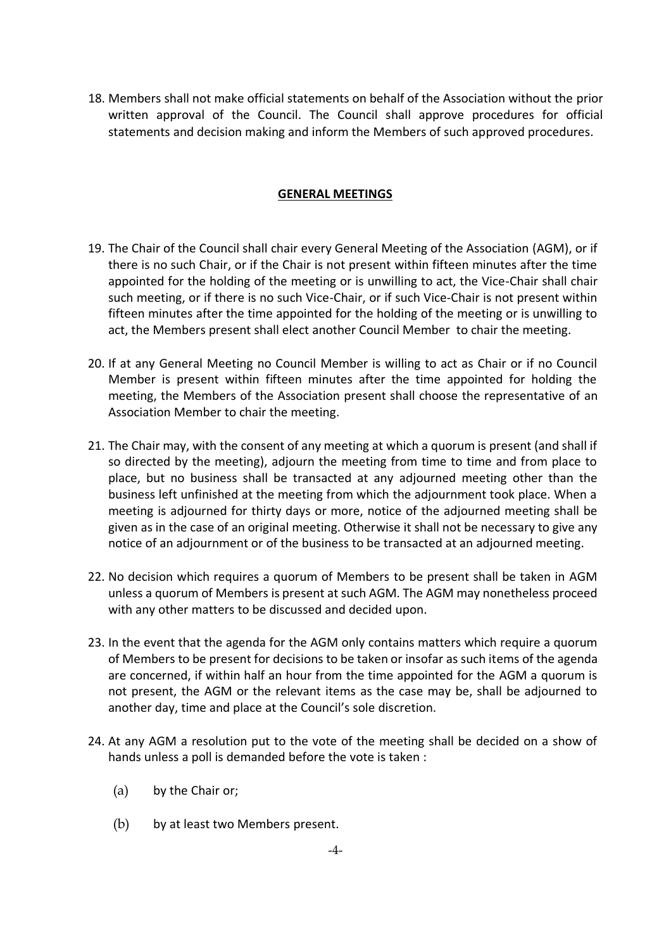18. Members shall not make official statements on behalf of the Association without the prior written approval of the Council. The Council shall approve procedures for official statements and decision making and inform the Members of such approved procedures.

### **GENERAL MEETINGS**

- 19. The Chair of the Council shall chair every General Meeting of the Association (AGM), or if there is no such Chair, or if the Chair is not present within fifteen minutes after the time appointed for the holding of the meeting or is unwilling to act, the Vice-Chair shall chair such meeting, or if there is no such Vice-Chair, or if such Vice-Chair is not present within fifteen minutes after the time appointed for the holding of the meeting or is unwilling to act, the Members present shall elect another Council Member to chair the meeting.
- 20. If at any General Meeting no Council Member is willing to act as Chair or if no Council Member is present within fifteen minutes after the time appointed for holding the meeting, the Members of the Association present shall choose the representative of an Association Member to chair the meeting.
- 21. The Chair may, with the consent of any meeting at which a quorum is present (and shall if so directed by the meeting), adjourn the meeting from time to time and from place to place, but no business shall be transacted at any adjourned meeting other than the business left unfinished at the meeting from which the adjournment took place. When a meeting is adjourned for thirty days or more, notice of the adjourned meeting shall be given as in the case of an original meeting. Otherwise it shall not be necessary to give any notice of an adjournment or of the business to be transacted at an adjourned meeting.
- 22. No decision which requires a quorum of Members to be present shall be taken in AGM unless a quorum of Members is present at such AGM. The AGM may nonetheless proceed with any other matters to be discussed and decided upon.
- 23. In the event that the agenda for the AGM only contains matters which require a quorum of Members to be present for decisions to be taken or insofar as such items of the agenda are concerned, if within half an hour from the time appointed for the AGM a quorum is not present, the AGM or the relevant items as the case may be, shall be adjourned to another day, time and place at the Council's sole discretion.
- 24. At any AGM a resolution put to the vote of the meeting shall be decided on a show of hands unless a poll is demanded before the vote is taken :
	- (a) by the Chair or;
	- (b) by at least two Members present.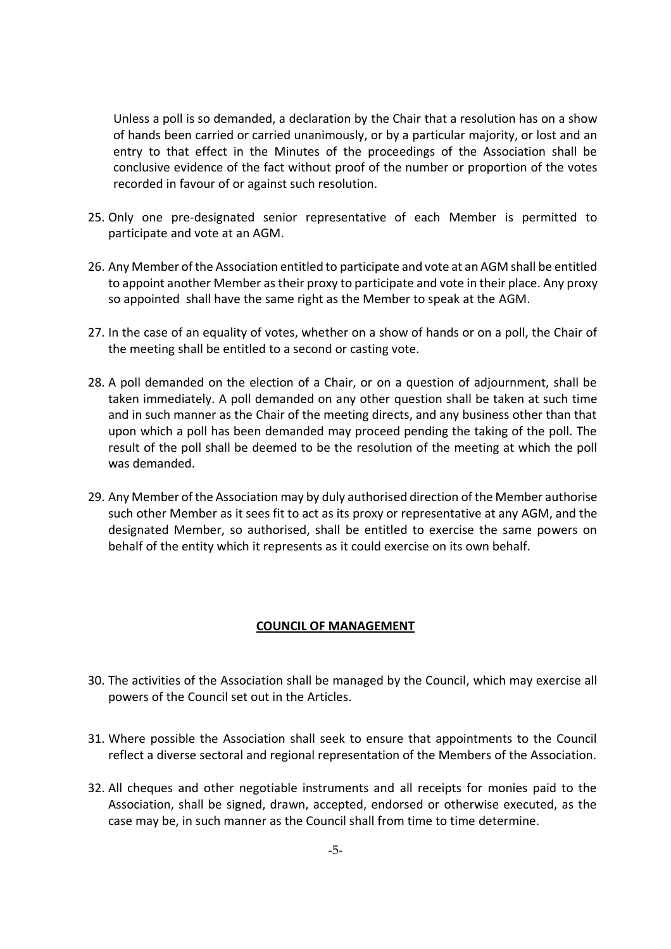Unless a poll is so demanded, a declaration by the Chair that a resolution has on a show of hands been carried or carried unanimously, or by a particular majority, or lost and an entry to that effect in the Minutes of the proceedings of the Association shall be conclusive evidence of the fact without proof of the number or proportion of the votes recorded in favour of or against such resolution.

- 25. Only one pre-designated senior representative of each Member is permitted to participate and vote at an AGM.
- 26. Any Member of the Association entitled to participate and vote at an AGM shall be entitled to appoint another Member as their proxy to participate and vote in their place. Any proxy so appointed shall have the same right as the Member to speak at the AGM.
- 27. In the case of an equality of votes, whether on a show of hands or on a poll, the Chair of the meeting shall be entitled to a second or casting vote.
- 28. A poll demanded on the election of a Chair, or on a question of adjournment, shall be taken immediately. A poll demanded on any other question shall be taken at such time and in such manner as the Chair of the meeting directs, and any business other than that upon which a poll has been demanded may proceed pending the taking of the poll. The result of the poll shall be deemed to be the resolution of the meeting at which the poll was demanded.
- 29. Any Member of the Association may by duly authorised direction of the Member authorise such other Member as it sees fit to act as its proxy or representative at any AGM, and the designated Member, so authorised, shall be entitled to exercise the same powers on behalf of the entity which it represents as it could exercise on its own behalf.

#### **COUNCIL OF MANAGEMENT**

- 30. The activities of the Association shall be managed by the Council, which may exercise all powers of the Council set out in the Articles.
- 31. Where possible the Association shall seek to ensure that appointments to the Council reflect a diverse sectoral and regional representation of the Members of the Association.
- 32. All cheques and other negotiable instruments and all receipts for monies paid to the Association, shall be signed, drawn, accepted, endorsed or otherwise executed, as the case may be, in such manner as the Council shall from time to time determine.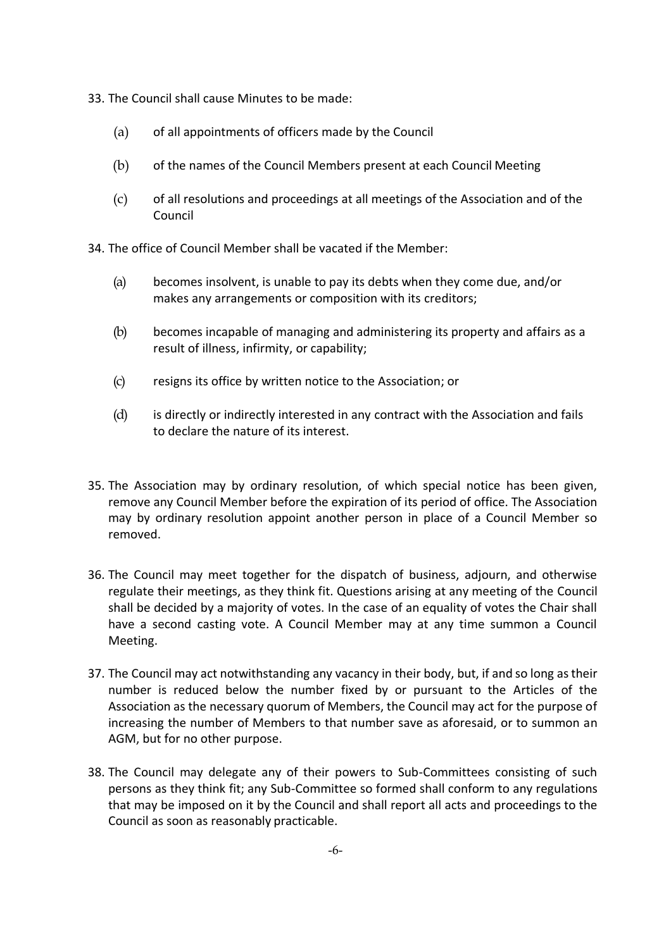- 33. The Council shall cause Minutes to be made:
	- (a) of all appointments of officers made by the Council
	- (b) of the names of the Council Members present at each Council Meeting
	- (c) of all resolutions and proceedings at all meetings of the Association and of the Council

34. The office of Council Member shall be vacated if the Member:

- (a) becomes insolvent, is unable to pay its debts when they come due, and/or makes any arrangements or composition with its creditors;
- (b) becomes incapable of managing and administering its property and affairs as a result of illness, infirmity, or capability;
- (c) resigns its office by written notice to the Association; or
- (d) is directly or indirectly interested in any contract with the Association and fails to declare the nature of its interest.
- 35. The Association may by ordinary resolution, of which special notice has been given, remove any Council Member before the expiration of its period of office. The Association may by ordinary resolution appoint another person in place of a Council Member so removed.
- 36. The Council may meet together for the dispatch of business, adjourn, and otherwise regulate their meetings, as they think fit. Questions arising at any meeting of the Council shall be decided by a majority of votes. In the case of an equality of votes the Chair shall have a second casting vote. A Council Member may at any time summon a Council Meeting.
- 37. The Council may act notwithstanding any vacancy in their body, but, if and so long as their number is reduced below the number fixed by or pursuant to the Articles of the Association as the necessary quorum of Members, the Council may act for the purpose of increasing the number of Members to that number save as aforesaid, or to summon an AGM, but for no other purpose.
- 38. The Council may delegate any of their powers to Sub-Committees consisting of such persons as they think fit; any Sub-Committee so formed shall conform to any regulations that may be imposed on it by the Council and shall report all acts and proceedings to the Council as soon as reasonably practicable.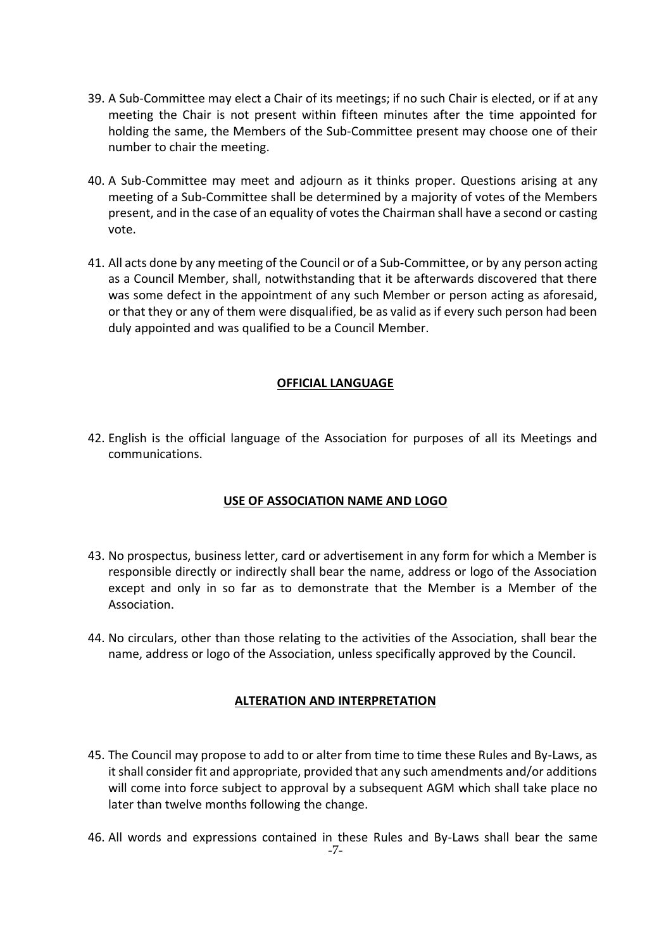- 39. A Sub-Committee may elect a Chair of its meetings; if no such Chair is elected, or if at any meeting the Chair is not present within fifteen minutes after the time appointed for holding the same, the Members of the Sub-Committee present may choose one of their number to chair the meeting.
- 40. A Sub-Committee may meet and adjourn as it thinks proper. Questions arising at any meeting of a Sub-Committee shall be determined by a majority of votes of the Members present, and in the case of an equality of votes the Chairman shall have a second or casting vote.
- 41. All acts done by any meeting of the Council or of a Sub-Committee, or by any person acting as a Council Member, shall, notwithstanding that it be afterwards discovered that there was some defect in the appointment of any such Member or person acting as aforesaid, or that they or any of them were disqualified, be as valid as if every such person had been duly appointed and was qualified to be a Council Member.

# **OFFICIAL LANGUAGE**

42. English is the official language of the Association for purposes of all its Meetings and communications.

# **USE OF ASSOCIATION NAME AND LOGO**

- 43. No prospectus, business letter, card or advertisement in any form for which a Member is responsible directly or indirectly shall bear the name, address or logo of the Association except and only in so far as to demonstrate that the Member is a Member of the Association.
- 44. No circulars, other than those relating to the activities of the Association, shall bear the name, address or logo of the Association, unless specifically approved by the Council.

#### **ALTERATION AND INTERPRETATION**

- 45. The Council may propose to add to or alter from time to time these Rules and By-Laws, as it shall consider fit and appropriate, provided that any such amendments and/or additions will come into force subject to approval by a subsequent AGM which shall take place no later than twelve months following the change.
- -7- 46. All words and expressions contained in these Rules and By-Laws shall bear the same